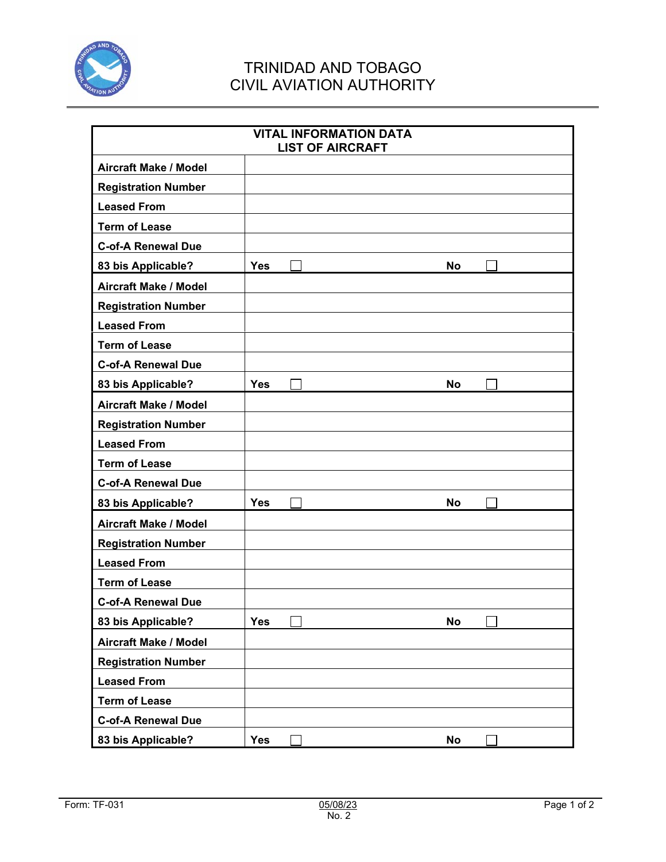

## TRINIDAD AND TOBAGO CIVIL AVIATION AUTHORITY

|                              |            | <b>VITAL INFORMATION DATA</b><br><b>LIST OF AIRCRAFT</b> |           |  |
|------------------------------|------------|----------------------------------------------------------|-----------|--|
| <b>Aircraft Make / Model</b> |            |                                                          |           |  |
| <b>Registration Number</b>   |            |                                                          |           |  |
| <b>Leased From</b>           |            |                                                          |           |  |
| <b>Term of Lease</b>         |            |                                                          |           |  |
| <b>C-of-A Renewal Due</b>    |            |                                                          |           |  |
| 83 bis Applicable?           | <b>Yes</b> |                                                          | <b>No</b> |  |
| <b>Aircraft Make / Model</b> |            |                                                          |           |  |
| <b>Registration Number</b>   |            |                                                          |           |  |
| <b>Leased From</b>           |            |                                                          |           |  |
| <b>Term of Lease</b>         |            |                                                          |           |  |
| <b>C-of-A Renewal Due</b>    |            |                                                          |           |  |
| 83 bis Applicable?           | <b>Yes</b> |                                                          | No        |  |
| <b>Aircraft Make / Model</b> |            |                                                          |           |  |
| <b>Registration Number</b>   |            |                                                          |           |  |
| <b>Leased From</b>           |            |                                                          |           |  |
| <b>Term of Lease</b>         |            |                                                          |           |  |
| <b>C-of-A Renewal Due</b>    |            |                                                          |           |  |
| 83 bis Applicable?           | <b>Yes</b> |                                                          | No        |  |
| <b>Aircraft Make / Model</b> |            |                                                          |           |  |
| <b>Registration Number</b>   |            |                                                          |           |  |
| <b>Leased From</b>           |            |                                                          |           |  |
| <b>Term of Lease</b>         |            |                                                          |           |  |
| <b>C-of-A Renewal Due</b>    |            |                                                          |           |  |
| 83 bis Applicable?           | <b>Yes</b> |                                                          | <b>No</b> |  |
| <b>Aircraft Make / Model</b> |            |                                                          |           |  |
| <b>Registration Number</b>   |            |                                                          |           |  |
| <b>Leased From</b>           |            |                                                          |           |  |
| <b>Term of Lease</b>         |            |                                                          |           |  |
| <b>C-of-A Renewal Due</b>    |            |                                                          |           |  |
| 83 bis Applicable?           | <b>Yes</b> |                                                          | <b>No</b> |  |